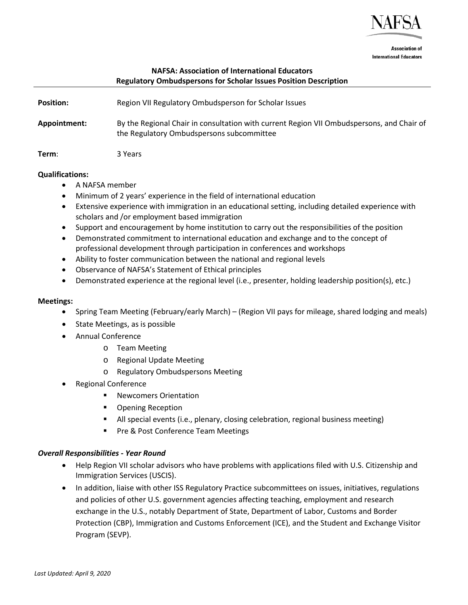

**Association of International Educators** 

# **NAFSA: Association of International Educators Regulatory Ombudspersons for Scholar Issues Position Description**

| <b>Position:</b> | Region VII Regulatory Ombudsperson for Scholar Issues                                                                                  |
|------------------|----------------------------------------------------------------------------------------------------------------------------------------|
| Appointment:     | By the Regional Chair in consultation with current Region VII Ombudspersons, and Chair of<br>the Regulatory Ombudspersons subcommittee |
| Term:            | 3 Years                                                                                                                                |

#### **Qualifications:**

- A NAFSA member
- Minimum of 2 years' experience in the field of international education
- Extensive experience with immigration in an educational setting, including detailed experience with scholars and /or employment based immigration
- Support and encouragement by home institution to carry out the responsibilities of the position
- Demonstrated commitment to international education and exchange and to the concept of professional development through participation in conferences and workshops
- Ability to foster communication between the national and regional levels
- Observance of NAFSA's Statement of Ethical principles
- Demonstrated experience at the regional level (i.e., presenter, holding leadership position(s), etc.)

#### **Meetings:**

- Spring Team Meeting (February/early March) (Region VII pays for mileage, shared lodging and meals)
- State Meetings, as is possible
- Annual Conference
	- o Team Meeting
	- o Regional Update Meeting
	- o Regulatory Ombudspersons Meeting
- Regional Conference
	- Newcomers Orientation
	- Opening Reception
	- All special events (i.e., plenary, closing celebration, regional business meeting)
	- **Pre & Post Conference Team Meetings**

# *Overall Responsibilities - Year Round*

- Help Region VII scholar advisors who have problems with applications filed with U.S. Citizenship and Immigration Services (USCIS).
- In addition, liaise with other ISS Regulatory Practice subcommittees on issues, initiatives, regulations and policies of other U.S. government agencies affecting teaching, employment and research exchange in the U.S., notably Department of State, Department of Labor, Customs and Border Protection (CBP), Immigration and Customs Enforcement (ICE), and the Student and Exchange Visitor Program (SEVP).